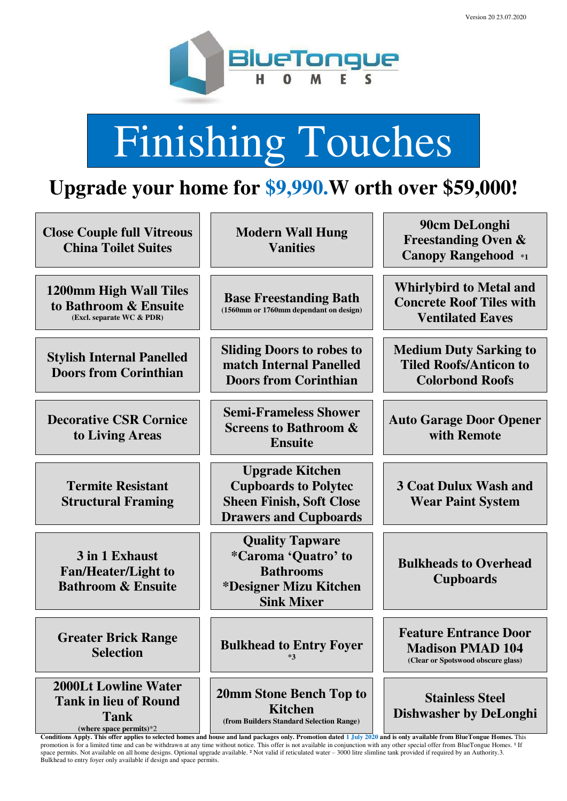

# Finishing Touches

## **Upgrade your home for \$9,990.W orth over \$59,000!**

| <b>Close Couple full Vitreous</b><br><b>China Toilet Suites</b>                                          | <b>Modern Wall Hung</b><br><b>Vanities</b>                                                                                                                                                                                                                      | 90cm DeLonghi<br><b>Freestanding Oven &amp;</b><br><b>Canopy Rangehood</b> *1                 |
|----------------------------------------------------------------------------------------------------------|-----------------------------------------------------------------------------------------------------------------------------------------------------------------------------------------------------------------------------------------------------------------|-----------------------------------------------------------------------------------------------|
| 1200mm High Wall Tiles<br>to Bathroom & Ensuite<br>(Excl. separate WC & PDR)                             | <b>Base Freestanding Bath</b><br>(1560mm or 1760mm dependant on design)                                                                                                                                                                                         | <b>Whirlybird to Metal and</b><br><b>Concrete Roof Tiles with</b><br><b>Ventilated Eaves</b>  |
| <b>Stylish Internal Panelled</b><br><b>Doors from Corinthian</b>                                         | <b>Sliding Doors to robes to</b><br>match Internal Panelled<br><b>Doors from Corinthian</b>                                                                                                                                                                     | <b>Medium Duty Sarking to</b><br><b>Tiled Roofs/Anticon to</b><br><b>Colorbond Roofs</b>      |
| <b>Decorative CSR Cornice</b><br>to Living Areas                                                         | <b>Semi-Frameless Shower</b><br><b>Screens to Bathroom &amp;</b><br><b>Ensuite</b>                                                                                                                                                                              | <b>Auto Garage Door Opener</b><br>with Remote                                                 |
| <b>Termite Resistant</b><br><b>Structural Framing</b>                                                    | <b>Upgrade Kitchen</b><br><b>Cupboards to Polytec</b><br><b>Sheen Finish, Soft Close</b><br><b>Drawers and Cupboards</b>                                                                                                                                        | <b>3 Coat Dulux Wash and</b><br><b>Wear Paint System</b>                                      |
| 3 in 1 Exhaust<br><b>Fan/Heater/Light to</b><br><b>Bathroom &amp; Ensuite</b>                            | <b>Quality Tapware</b><br><i>*Caroma 'Quatro' to</i><br><b>Bathrooms</b><br>*Designer Mizu Kitchen<br><b>Sink Mixer</b>                                                                                                                                         | <b>Bulkheads to Overhead</b><br><b>Cupboards</b>                                              |
| <b>Greater Brick Range</b><br><b>Selection</b>                                                           | <b>Bulkhead to Entry Foyer</b><br>$*3$                                                                                                                                                                                                                          | <b>Feature Entrance Door</b><br><b>Madison PMAD 104</b><br>(Clear or Spotswood obscure glass) |
| <b>2000Lt Lowline Water</b><br><b>Tank in lieu of Round</b><br><b>Tank</b><br>(where space permits) $*2$ | 20mm Stone Bench Top to<br><b>Kitchen</b><br>(from Builders Standard Selection Range)<br>Conditions Apply. This offer applies to selected homes and house and land packages only. Promotion dated 1 July 2020 and is only available from BlueTongue Homes. This | <b>Stainless Steel</b><br><b>Dishwasher by DeLonghi</b>                                       |

promotion is for a limited time and can be withdrawn at any time without notice. This offer is not available in conjunction with any other special offer from BlueTongue Homes. <sup>1</sup> If space permits. Not available on all home designs. Optional upgrade available. ² Not valid if reticulated water – 3000 litre slimline tank provided if required by an Authority.3. Bulkhead to entry foyer only available if design and space permits.